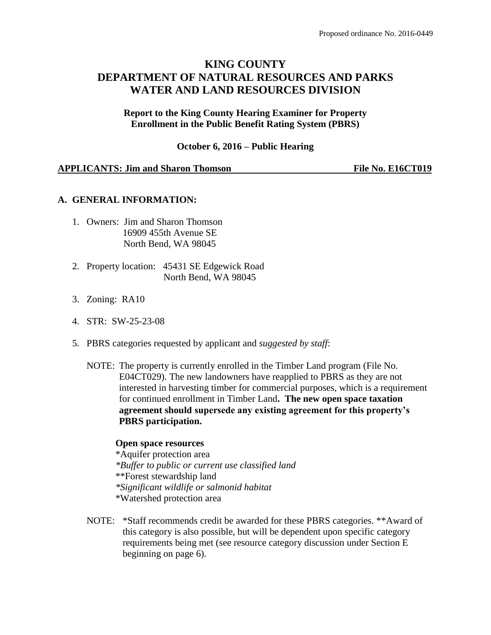# **KING COUNTY DEPARTMENT OF NATURAL RESOURCES AND PARKS WATER AND LAND RESOURCES DIVISION**

**Report to the King County Hearing Examiner for Property Enrollment in the Public Benefit Rating System (PBRS)**

**October 6, 2016 – Public Hearing**

#### **APPLICANTS: Jim and Sharon Thomson File No. E16CT019**

#### **A. GENERAL INFORMATION:**

- 1. Owners: Jim and Sharon Thomson 16909 455th Avenue SE North Bend, WA 98045
- 2. Property location: 45431 SE Edgewick Road North Bend, WA 98045
- 3. Zoning: RA10
- 4. STR: SW-25-23-08
- 5. PBRS categories requested by applicant and *suggested by staff*:
	- NOTE: The property is currently enrolled in the Timber Land program (File No. E04CT029). The new landowners have reapplied to PBRS as they are not interested in harvesting timber for commercial purposes, which is a requirement for continued enrollment in Timber Land**. The new open space taxation agreement should supersede any existing agreement for this property's PBRS participation.**

### **Open space resources**

\*Aquifer protection area *\*Buffer to public or current use classified land* \*\*Forest stewardship land *\*Significant wildlife or salmonid habitat*  \*Watershed protection area

NOTE: \*Staff recommends credit be awarded for these PBRS categories. \*\*Award of this category is also possible, but will be dependent upon specific category requirements being met (see resource category discussion under Section E beginning on page 6).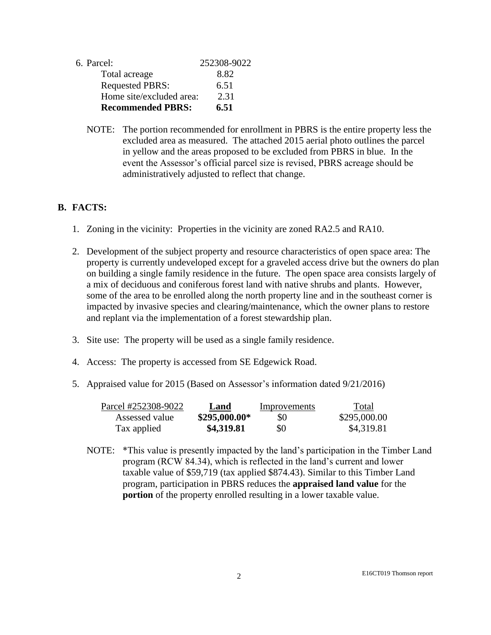| 6. Parcel:               | 252308-9022 |
|--------------------------|-------------|
| Total acreage            | 8.82        |
| <b>Requested PBRS:</b>   | 6.51        |
| Home site/excluded area: | 2.31        |
| <b>Recommended PBRS:</b> | 6.51        |

NOTE: The portion recommended for enrollment in PBRS is the entire property less the excluded area as measured. The attached 2015 aerial photo outlines the parcel in yellow and the areas proposed to be excluded from PBRS in blue. In the event the Assessor's official parcel size is revised, PBRS acreage should be administratively adjusted to reflect that change.

## **B. FACTS:**

- 1. Zoning in the vicinity: Properties in the vicinity are zoned RA2.5 and RA10.
- 2. Development of the subject property and resource characteristics of open space area: The property is currently undeveloped except for a graveled access drive but the owners do plan on building a single family residence in the future. The open space area consists largely of a mix of deciduous and coniferous forest land with native shrubs and plants. However, some of the area to be enrolled along the north property line and in the southeast corner is impacted by invasive species and clearing/maintenance, which the owner plans to restore and replant via the implementation of a forest stewardship plan.
- 3. Site use: The property will be used as a single family residence.
- 4. Access: The property is accessed from SE Edgewick Road.
- 5. Appraised value for 2015 (Based on Assessor's information dated 9/21/2016)

| Parcel #252308-9022 | Land           | Improvements | Total        |
|---------------------|----------------|--------------|--------------|
| Assessed value      | $$295,000.00*$ | \$0          | \$295,000.00 |
| Tax applied         | \$4,319.81     | \$0          | \$4,319.81   |

NOTE: \*This value is presently impacted by the land's participation in the Timber Land program (RCW 84.34), which is reflected in the land's current and lower taxable value of \$59,719 (tax applied \$874.43). Similar to this Timber Land program, participation in PBRS reduces the **appraised land value** for the **portion** of the property enrolled resulting in a lower taxable value.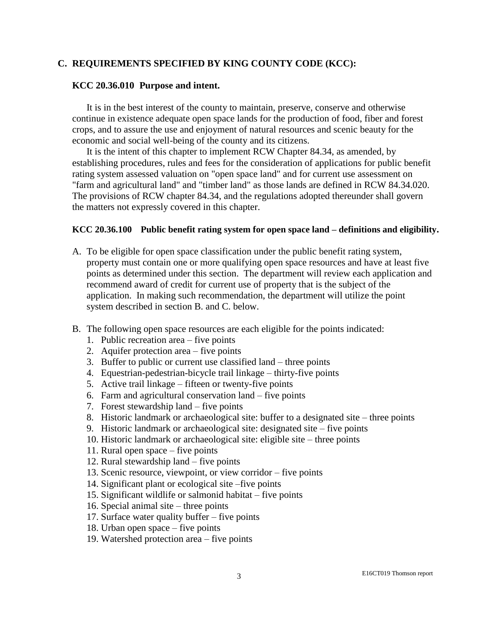## **C. REQUIREMENTS SPECIFIED BY KING COUNTY CODE (KCC):**

#### **KCC 20.36.010 Purpose and intent.**

It is in the best interest of the county to maintain, preserve, conserve and otherwise continue in existence adequate open space lands for the production of food, fiber and forest crops, and to assure the use and enjoyment of natural resources and scenic beauty for the economic and social well-being of the county and its citizens.

It is the intent of this chapter to implement RCW Chapter 84.34, as amended, by establishing procedures, rules and fees for the consideration of applications for public benefit rating system assessed valuation on "open space land" and for current use assessment on "farm and agricultural land" and "timber land" as those lands are defined in RCW 84.34.020. The provisions of RCW chapter 84.34, and the regulations adopted thereunder shall govern the matters not expressly covered in this chapter.

### **KCC 20.36.100 Public benefit rating system for open space land – definitions and eligibility.**

- A. To be eligible for open space classification under the public benefit rating system, property must contain one or more qualifying open space resources and have at least five points as determined under this section. The department will review each application and recommend award of credit for current use of property that is the subject of the application. In making such recommendation, the department will utilize the point system described in section B. and C. below.
- B. The following open space resources are each eligible for the points indicated:
	- 1. Public recreation area five points
	- 2. Aquifer protection area five points
	- 3. Buffer to public or current use classified land three points
	- 4. Equestrian-pedestrian-bicycle trail linkage thirty-five points
	- 5. Active trail linkage fifteen or twenty-five points
	- 6. Farm and agricultural conservation land five points
	- 7. Forest stewardship land five points
	- 8. Historic landmark or archaeological site: buffer to a designated site three points
	- 9. Historic landmark or archaeological site: designated site five points
	- 10. Historic landmark or archaeological site: eligible site three points
	- 11. Rural open space five points
	- 12. Rural stewardship land five points
	- 13. Scenic resource, viewpoint, or view corridor five points
	- 14. Significant plant or ecological site –five points
	- 15. Significant wildlife or salmonid habitat five points
	- 16. Special animal site three points
	- 17. Surface water quality buffer five points
	- 18. Urban open space five points
	- 19. Watershed protection area five points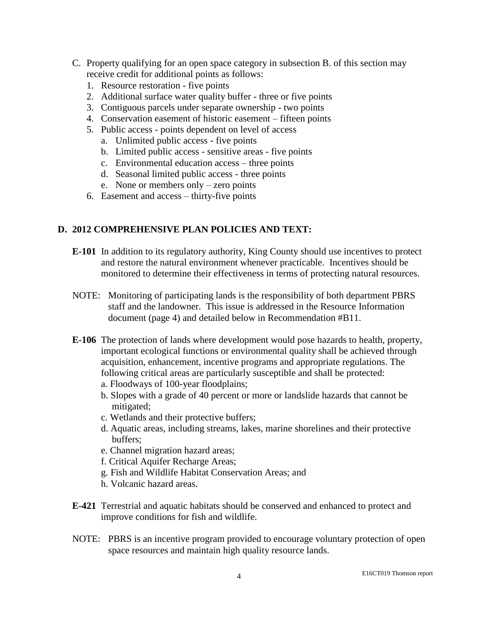- C. Property qualifying for an open space category in subsection B. of this section may receive credit for additional points as follows:
	- 1. Resource restoration five points
	- 2. Additional surface water quality buffer three or five points
	- 3. Contiguous parcels under separate ownership two points
	- 4. Conservation easement of historic easement fifteen points
	- 5. Public access points dependent on level of access
		- a. Unlimited public access five points
		- b. Limited public access sensitive areas five points
		- c. Environmental education access three points
		- d. Seasonal limited public access three points
		- e. None or members only zero points
	- 6. Easement and access thirty-five points

## **D. 2012 COMPREHENSIVE PLAN POLICIES AND TEXT:**

- **E-101** In addition to its regulatory authority, King County should use incentives to protect and restore the natural environment whenever practicable. Incentives should be monitored to determine their effectiveness in terms of protecting natural resources.
- NOTE: Monitoring of participating lands is the responsibility of both department PBRS staff and the landowner. This issue is addressed in the Resource Information document (page 4) and detailed below in Recommendation #B11.
- **E-106** The protection of lands where development would pose hazards to health, property, important ecological functions or environmental quality shall be achieved through acquisition, enhancement, incentive programs and appropriate regulations. The following critical areas are particularly susceptible and shall be protected:
	- a. Floodways of 100-year floodplains;
	- b. Slopes with a grade of 40 percent or more or landslide hazards that cannot be mitigated;
	- c. Wetlands and their protective buffers;
	- d. Aquatic areas, including streams, lakes, marine shorelines and their protective buffers;
	- e. Channel migration hazard areas;
	- f. Critical Aquifer Recharge Areas;
	- g. Fish and Wildlife Habitat Conservation Areas; and
	- h. Volcanic hazard areas.
- **E-421** Terrestrial and aquatic habitats should be conserved and enhanced to protect and improve conditions for fish and wildlife.
- NOTE: PBRS is an incentive program provided to encourage voluntary protection of open space resources and maintain high quality resource lands.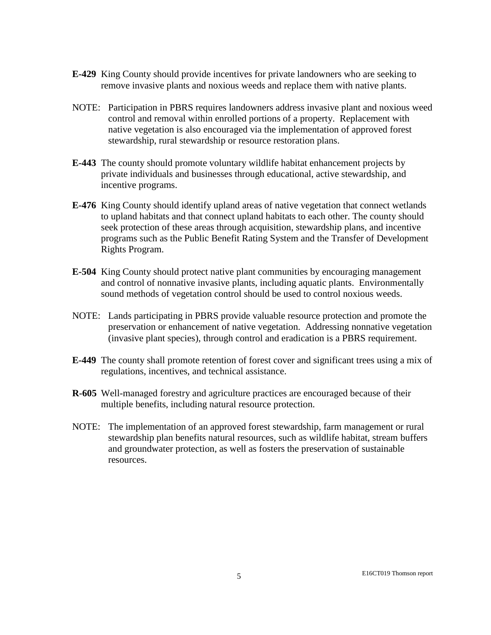- **E-429** King County should provide incentives for private landowners who are seeking to remove invasive plants and noxious weeds and replace them with native plants.
- NOTE: Participation in PBRS requires landowners address invasive plant and noxious weed control and removal within enrolled portions of a property. Replacement with native vegetation is also encouraged via the implementation of approved forest stewardship, rural stewardship or resource restoration plans.
- **E-443** The county should promote voluntary wildlife habitat enhancement projects by private individuals and businesses through educational, active stewardship, and incentive programs.
- **E-476** King County should identify upland areas of native vegetation that connect wetlands to upland habitats and that connect upland habitats to each other. The county should seek protection of these areas through acquisition, stewardship plans, and incentive programs such as the Public Benefit Rating System and the Transfer of Development Rights Program.
- **E-504** King County should protect native plant communities by encouraging management and control of nonnative invasive plants, including aquatic plants. Environmentally sound methods of vegetation control should be used to control noxious weeds.
- NOTE: Lands participating in PBRS provide valuable resource protection and promote the preservation or enhancement of native vegetation. Addressing nonnative vegetation (invasive plant species), through control and eradication is a PBRS requirement.
- **E-449** The county shall promote retention of forest cover and significant trees using a mix of regulations, incentives, and technical assistance.
- **R-605** Well-managed forestry and agriculture practices are encouraged because of their multiple benefits, including natural resource protection.
- NOTE: The implementation of an approved forest stewardship, farm management or rural stewardship plan benefits natural resources, such as wildlife habitat, stream buffers and groundwater protection, as well as fosters the preservation of sustainable resources.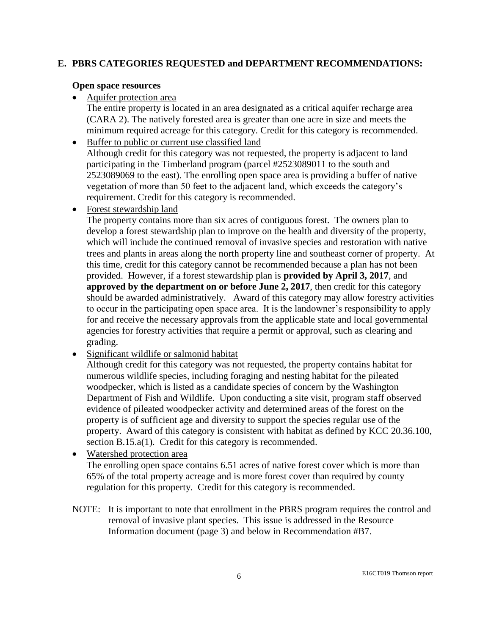## **E. PBRS CATEGORIES REQUESTED and DEPARTMENT RECOMMENDATIONS:**

### **Open space resources**

Aquifer protection area

The entire property is located in an area designated as a critical aquifer recharge area (CARA 2). The natively forested area is greater than one acre in size and meets the minimum required acreage for this category. Credit for this category is recommended.

- Buffer to public or current use classified land Although credit for this category was not requested, the property is adjacent to land participating in the Timberland program (parcel #2523089011 to the south and 2523089069 to the east). The enrolling open space area is providing a buffer of native vegetation of more than 50 feet to the adjacent land, which exceeds the category's requirement. Credit for this category is recommended.
- Forest stewardship land

The property contains more than six acres of contiguous forest. The owners plan to develop a forest stewardship plan to improve on the health and diversity of the property, which will include the continued removal of invasive species and restoration with native trees and plants in areas along the north property line and southeast corner of property. At this time, credit for this category cannot be recommended because a plan has not been provided. However, if a forest stewardship plan is **provided by April 3, 2017**, and **approved by the department on or before June 2, 2017**, then credit for this category should be awarded administratively. Award of this category may allow forestry activities to occur in the participating open space area. It is the landowner's responsibility to apply for and receive the necessary approvals from the applicable state and local governmental agencies for forestry activities that require a permit or approval, such as clearing and grading.

• Significant wildlife or salmonid habitat

Although credit for this category was not requested, the property contains habitat for numerous wildlife species, including foraging and nesting habitat for the pileated woodpecker, which is listed as a candidate species of concern by the Washington Department of Fish and Wildlife. Upon conducting a site visit, program staff observed evidence of pileated woodpecker activity and determined areas of the forest on the property is of sufficient age and diversity to support the species regular use of the property. Award of this category is consistent with habitat as defined by KCC 20.36.100, section B.15.a(1). Credit for this category is recommended.

- Watershed protection area The enrolling open space contains 6.51 acres of native forest cover which is more than 65% of the total property acreage and is more forest cover than required by county regulation for this property. Credit for this category is recommended.
- NOTE: It is important to note that enrollment in the PBRS program requires the control and removal of invasive plant species. This issue is addressed in the Resource Information document (page 3) and below in Recommendation #B7.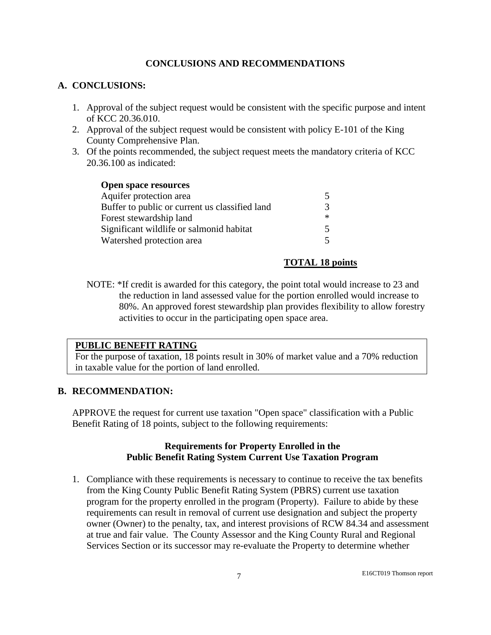## **CONCLUSIONS AND RECOMMENDATIONS**

## **A. CONCLUSIONS:**

- 1. Approval of the subject request would be consistent with the specific purpose and intent of KCC 20.36.010.
- 2. Approval of the subject request would be consistent with policy E-101 of the King County Comprehensive Plan.
- 3. Of the points recommended, the subject request meets the mandatory criteria of KCC 20.36.100 as indicated:

| <b>Open space resources</b>                    |     |
|------------------------------------------------|-----|
| Aquifer protection area                        | 5.  |
| Buffer to public or current us classified land | 3   |
| Forest stewardship land                        | $*$ |
| Significant wildlife or salmonid habitat       | 5.  |
| Watershed protection area                      | 5.  |

## **TOTAL 18 points**

NOTE: \*If credit is awarded for this category, the point total would increase to 23 and the reduction in land assessed value for the portion enrolled would increase to 80%. An approved forest stewardship plan provides flexibility to allow forestry activities to occur in the participating open space area.

## **PUBLIC BENEFIT RATING**

For the purpose of taxation, 18 points result in 30% of market value and a 70% reduction in taxable value for the portion of land enrolled.

## **B. RECOMMENDATION:**

APPROVE the request for current use taxation "Open space" classification with a Public Benefit Rating of 18 points, subject to the following requirements:

## **Requirements for Property Enrolled in the Public Benefit Rating System Current Use Taxation Program**

1. Compliance with these requirements is necessary to continue to receive the tax benefits from the King County Public Benefit Rating System (PBRS) current use taxation program for the property enrolled in the program (Property). Failure to abide by these requirements can result in removal of current use designation and subject the property owner (Owner) to the penalty, tax, and interest provisions of RCW 84.34 and assessment at true and fair value. The County Assessor and the King County Rural and Regional Services Section or its successor may re-evaluate the Property to determine whether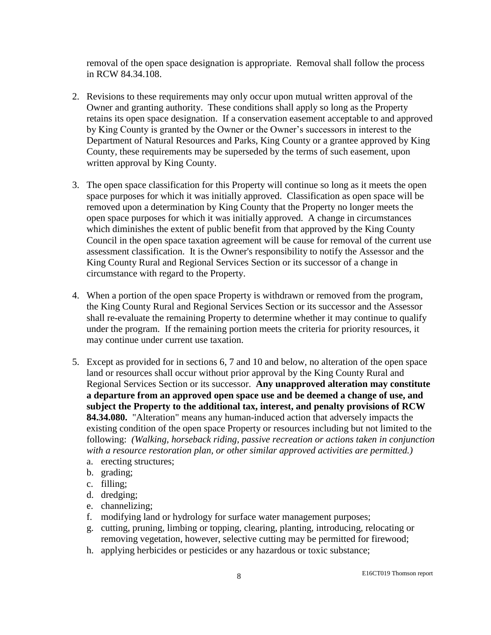removal of the open space designation is appropriate. Removal shall follow the process in RCW 84.34.108.

- 2. Revisions to these requirements may only occur upon mutual written approval of the Owner and granting authority. These conditions shall apply so long as the Property retains its open space designation. If a conservation easement acceptable to and approved by King County is granted by the Owner or the Owner's successors in interest to the Department of Natural Resources and Parks, King County or a grantee approved by King County, these requirements may be superseded by the terms of such easement, upon written approval by King County.
- 3. The open space classification for this Property will continue so long as it meets the open space purposes for which it was initially approved. Classification as open space will be removed upon a determination by King County that the Property no longer meets the open space purposes for which it was initially approved. A change in circumstances which diminishes the extent of public benefit from that approved by the King County Council in the open space taxation agreement will be cause for removal of the current use assessment classification. It is the Owner's responsibility to notify the Assessor and the King County Rural and Regional Services Section or its successor of a change in circumstance with regard to the Property.
- 4. When a portion of the open space Property is withdrawn or removed from the program, the King County Rural and Regional Services Section or its successor and the Assessor shall re-evaluate the remaining Property to determine whether it may continue to qualify under the program. If the remaining portion meets the criteria for priority resources, it may continue under current use taxation.
- 5. Except as provided for in sections 6, 7 and 10 and below, no alteration of the open space land or resources shall occur without prior approval by the King County Rural and Regional Services Section or its successor. **Any unapproved alteration may constitute a departure from an approved open space use and be deemed a change of use, and subject the Property to the additional tax, interest, and penalty provisions of RCW 84.34.080.** "Alteration" means any human-induced action that adversely impacts the existing condition of the open space Property or resources including but not limited to the following: *(Walking, horseback riding, passive recreation or actions taken in conjunction with a resource restoration plan, or other similar approved activities are permitted.)*
	- a. erecting structures;
	- b. grading;
	- c. filling;
	- d. dredging;
	- e. channelizing;
	- f. modifying land or hydrology for surface water management purposes;
	- g. cutting, pruning, limbing or topping, clearing, planting, introducing, relocating or removing vegetation, however, selective cutting may be permitted for firewood;
	- h. applying herbicides or pesticides or any hazardous or toxic substance;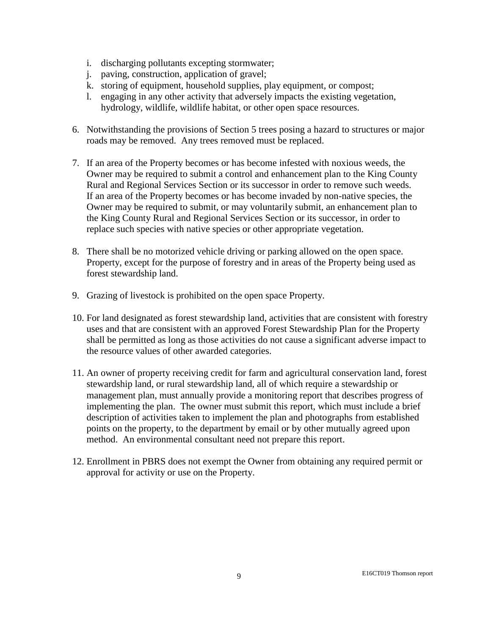- i. discharging pollutants excepting stormwater;
- j. paving, construction, application of gravel;
- k. storing of equipment, household supplies, play equipment, or compost;
- l. engaging in any other activity that adversely impacts the existing vegetation, hydrology, wildlife, wildlife habitat, or other open space resources.
- 6. Notwithstanding the provisions of Section 5 trees posing a hazard to structures or major roads may be removed. Any trees removed must be replaced.
- 7. If an area of the Property becomes or has become infested with noxious weeds, the Owner may be required to submit a control and enhancement plan to the King County Rural and Regional Services Section or its successor in order to remove such weeds. If an area of the Property becomes or has become invaded by non-native species, the Owner may be required to submit, or may voluntarily submit, an enhancement plan to the King County Rural and Regional Services Section or its successor, in order to replace such species with native species or other appropriate vegetation.
- 8. There shall be no motorized vehicle driving or parking allowed on the open space. Property, except for the purpose of forestry and in areas of the Property being used as forest stewardship land.
- 9. Grazing of livestock is prohibited on the open space Property.
- 10. For land designated as forest stewardship land, activities that are consistent with forestry uses and that are consistent with an approved Forest Stewardship Plan for the Property shall be permitted as long as those activities do not cause a significant adverse impact to the resource values of other awarded categories.
- 11. An owner of property receiving credit for farm and agricultural conservation land, forest stewardship land, or rural stewardship land, all of which require a stewardship or management plan, must annually provide a monitoring report that describes progress of implementing the plan. The owner must submit this report, which must include a brief description of activities taken to implement the plan and photographs from established points on the property, to the department by email or by other mutually agreed upon method. An environmental consultant need not prepare this report.
- 12. Enrollment in PBRS does not exempt the Owner from obtaining any required permit or approval for activity or use on the Property.